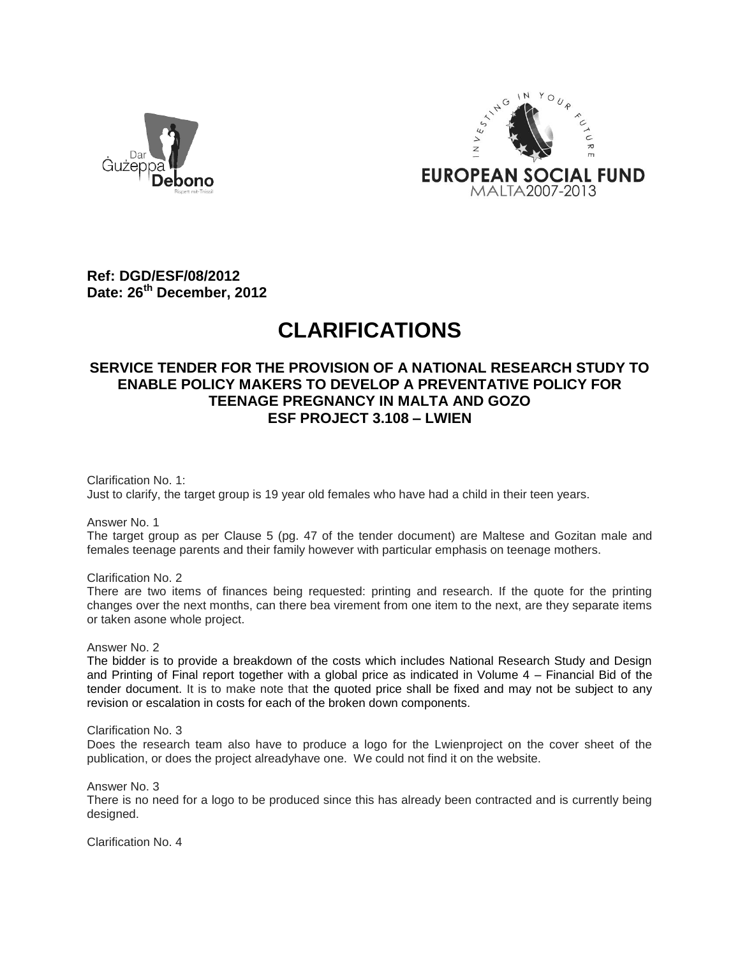



**Ref: DGD/ESF/08/2012 Date: 26th December, 2012**

## **CLARIFICATIONS**

## **SERVICE TENDER FOR THE PROVISION OF A NATIONAL RESEARCH STUDY TO ENABLE POLICY MAKERS TO DEVELOP A PREVENTATIVE POLICY FOR TEENAGE PREGNANCY IN MALTA AND GOZO ESF PROJECT 3.108 – LWIEN**

Clarification No. 1: Just to clarify, the target group is 19 year old females who have had a child in their teen years.

Answer No. 1

The target group as per Clause 5 (pg. 47 of the tender document) are Maltese and Gozitan male and females teenage parents and their family however with particular emphasis on teenage mothers.

Clarification No. 2

There are two items of finances being requested: printing and research. If the quote for the printing changes over the next months, can there bea virement from one item to the next, are they separate items or taken asone whole project.

Answer No. 2

The bidder is to provide a breakdown of the costs which includes National Research Study and Design and Printing of Final report together with a global price as indicated in Volume 4 – Financial Bid of the tender document. It is to make note that the quoted price shall be fixed and may not be subject to any revision or escalation in costs for each of the broken down components.

Clarification No. 3

Does the research team also have to produce a logo for the Lwienproject on the cover sheet of the publication, or does the project alreadyhave one. We could not find it on the website.

Answer No. 3

There is no need for a logo to be produced since this has already been contracted and is currently being designed.

Clarification No. 4